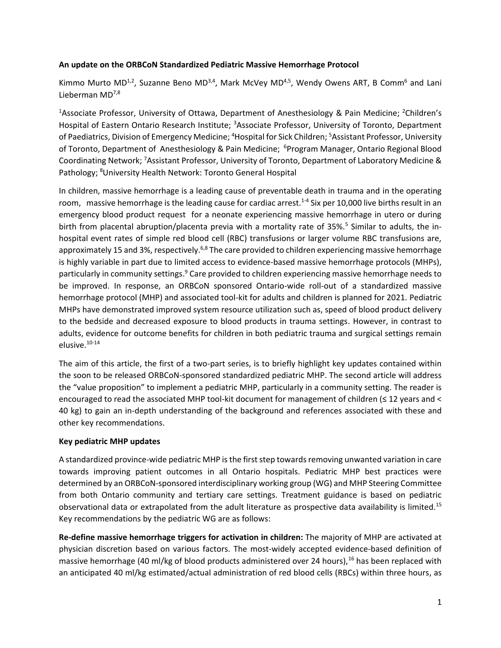## **An update on the ORBCoN Standardized Pediatric Massive Hemorrhage Protocol**

Kimmo Murto MD<sup>1,2</sup>, Suzanne Beno MD<sup>3,4</sup>, Mark McVey MD<sup>4,5</sup>, Wendy Owens ART, B Comm<sup>6</sup> and Lani Lieberman MD<sup>7,8</sup>

<sup>1</sup>Associate Professor, University of Ottawa, Department of Anesthesiology & Pain Medicine; <sup>2</sup>Children's Hospital of Eastern Ontario Research Institute; <sup>3</sup>Associate Professor, University of Toronto, Department of Paediatrics, Division of Emergency Medicine; <sup>4</sup>Hospital for Sick Children; <sup>5</sup>Assistant Professor, University of Toronto, Department of Anesthesiology & Pain Medicine; <sup>6</sup>Program Manager, Ontario Regional Blood Coordinating Network; <sup>7</sup>Assistant Professor, University of Toronto, Department of Laboratory Medicine & Pathology; <sup>8</sup>University Health Network: Toronto General Hospital

In children, massive hemorrhage is a leading cause of preventable death in trauma and in the operating room, massive hemorrhage is the leading cause for cardiac arrest.<sup>1-4</sup> Six per 10,000 live births result in an emergency blood product request for a neonate experiencing massive hemorrhage in utero or during birth from placental abruption/placenta previa with a mortality rate of 35%.<sup>5</sup> Similar to adults, the inhospital event rates of simple red blood cell (RBC) transfusions or larger volume RBC transfusions are, approximately 15 and 3%, respectively.<sup>6,8</sup> The care provided to children experiencing massive hemorrhage is highly variable in part due to limited access to evidence-based massive hemorrhage protocols (MHPs), particularly in community settings.<sup>9</sup> Care provided to children experiencing massive hemorrhage needs to be improved. In response, an ORBCoN sponsored Ontario-wide roll-out of a standardized massive hemorrhage protocol (MHP) and associated tool-kit for adults and children is planned for 2021. Pediatric MHPs have demonstrated improved system resource utilization such as, speed of blood product delivery to the bedside and decreased exposure to blood products in trauma settings. However, in contrast to adults, evidence for outcome benefits for children in both pediatric trauma and surgical settings remain elusive.10-14

The aim of this article, the first of a two-part series, is to briefly highlight key updates contained within the soon to be released ORBCoN-sponsored standardized pediatric MHP. The second article will address the "value proposition" to implement a pediatric MHP, particularly in a community setting. The reader is encouraged to read the associated MHP tool-kit document for management of children (≤ 12 years and < 40 kg) to gain an in-depth understanding of the background and references associated with these and other key recommendations.

# **Key pediatric MHP updates**

A standardized province-wide pediatric MHP is the first step towards removing unwanted variation in care towards improving patient outcomes in all Ontario hospitals. Pediatric MHP best practices were determined by an ORBCoN-sponsored interdisciplinary working group (WG) and MHP Steering Committee from both Ontario community and tertiary care settings. Treatment guidance is based on pediatric observational data or extrapolated from the adult literature as prospective data availability is limited.<sup>15</sup> Key recommendations by the pediatric WG are as follows:

**Re-define massive hemorrhage triggers for activation in children:** The majority of MHP are activated at physician discretion based on various factors. The most-widely accepted evidence-based definition of massive hemorrhage (40 ml/kg of blood products administered over 24 hours),<sup>16</sup> has been replaced with an anticipated 40 ml/kg estimated/actual administration of red blood cells (RBCs) within three hours, as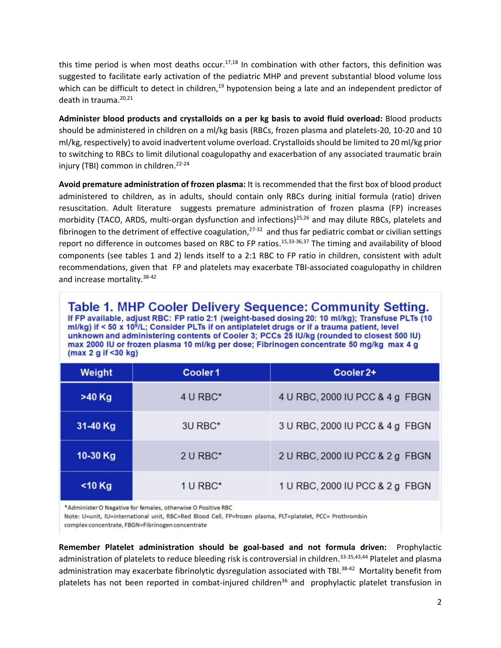this time period is when most deaths occur.<sup>17,18</sup> In combination with other factors, this definition was suggested to facilitate early activation of the pediatric MHP and prevent substantial blood volume loss which can be difficult to detect in children,<sup>19</sup> hypotension being a late and an independent predictor of death in trauma.<sup>20,21</sup>

**Administer blood products and crystalloids on a per kg basis to avoid fluid overload:** Blood products should be administered in children on a ml/kg basis (RBCs, frozen plasma and platelets-20, 10-20 and 10 ml/kg, respectively) to avoid inadvertent volume overload. Crystalloidsshould be limited to 20 ml/kg prior to switching to RBCs to limit dilutional coagulopathy and exacerbation of any associated traumatic brain injury (TBI) common in children.<sup>22-24</sup>

**Avoid premature administration of frozen plasma:** It is recommended that the first box of blood product administered to children, as in adults, should contain only RBCs during initial formula (ratio) driven resuscitation. Adult literature suggests premature administration of frozen plasma (FP) increases morbidity (TACO, ARDS, multi-organ dysfunction and infections)<sup>25,26</sup> and may dilute RBCs, platelets and fibrinogen to the detriment of effective coagulation,<sup>27-32</sup> and thus far pediatric combat or civilian settings report no difference in outcomes based on RBC to FP ratios.<sup>15,33-36,37</sup> The timing and availability of blood components (see tables 1 and 2) lends itself to a 2:1 RBC to FP ratio in children, consistent with adult recommendations, given that FP and platelets may exacerbate TBI-associated coagulopathy in children and increase mortality.<sup>38-42</sup>

Table 1. MHP Cooler Delivery Sequence: Community Setting. If FP available, adjust RBC: FP ratio 2:1 (weight-based dosing 20: 10 ml/kg); Transfuse PLTs (10 ml/kg) if < 50 x 10<sup>9</sup>/L; Consider PLTs if on antiplatelet drugs or if a trauma patient, level unknown and administering contents of Cooler 3; PCCs 25 IU/kg (rounded to closest 500 IU) max 2000 IU or frozen plasma 10 ml/kg per dose; Fibrinogen concentrate 50 mg/kg max 4 g  $(max 2 q if < 30 kq)$ 

| Weight    | Cooler <sub>1</sub> | Cooler <sub>2+</sub>            |  |
|-----------|---------------------|---------------------------------|--|
| >40 Kg    | 4 U RBC*            | 4 U RBC, 2000 IU PCC & 4 g FBGN |  |
| 31-40 Kg  | 3U RBC*             | 3 U RBC, 2000 IU PCC & 4 g FBGN |  |
| 10-30 Kg  | 2 U RBC*            | 2 U RBC, 2000 IU PCC & 2 g FBGN |  |
| $<$ 10 Kg | 1 U RBC*            | 1 U RBC, 2000 IU PCC & 2 g FBGN |  |

\*Administer O Negative for females, otherwise O Positive RBC

Note: U=unit, IU=international unit, RBC=Red Blood Cell, FP=frozen plasma, PLT=platelet, PCC= Prothrombin

complex concentrate, FBGN=Fibrinogen concentrate

**Remember Platelet administration should be goal-based and not formula driven:** Prophylactic administration of platelets to reduce bleeding risk is controversial in children.<sup>33-35,43,44</sup> Platelet and plasma administration may exacerbate fibrinolytic dysregulation associated with TBI.<sup>38-42</sup> Mortality benefit from platelets has not been reported in combat-injured children<sup>36</sup> and prophylactic platelet transfusion in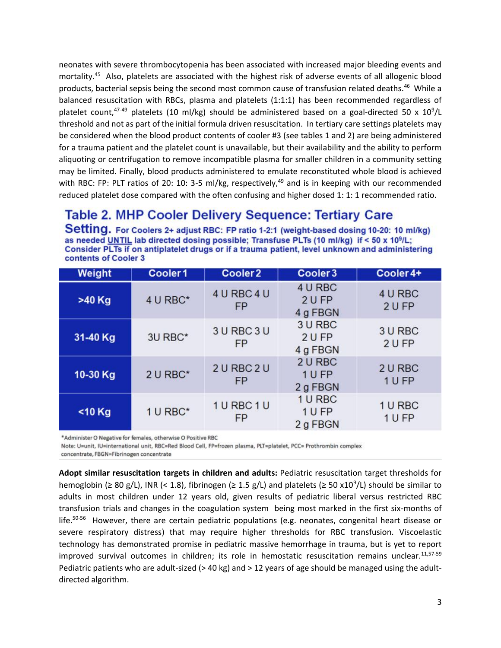neonates with severe thrombocytopenia has been associated with increased major bleeding events and mortality.<sup>45</sup> Also, platelets are associated with the highest risk of adverse events of all allogenic blood products, bacterial sepsis being the second most common cause of transfusion related deaths.<sup>46</sup> While a balanced resuscitation with RBCs, plasma and platelets (1:1:1) has been recommended regardless of platelet count,<sup>47-49</sup> platelets (10 ml/kg) should be administered based on a goal-directed 50 x 10<sup>9</sup>/L threshold and not as part of the initial formula driven resuscitation. In tertiary care settings platelets may be considered when the blood product contents of cooler #3 (see tables 1 and 2) are being administered for a trauma patient and the platelet count is unavailable, but their availability and the ability to perform aliquoting or centrifugation to remove incompatible plasma for smaller children in a community setting may be limited. Finally, blood products administered to emulate reconstituted whole blood is achieved with RBC: FP: PLT ratios of 20: 10: 3-5 ml/kg, respectively, $49$  and is in keeping with our recommended reduced platelet dose compared with the often confusing and higher dosed 1: 1: 1 recommended ratio.

# **Table 2. MHP Cooler Delivery Sequence: Tertiary Care**

Setting. For Coolers 2+ adjust RBC: FP ratio 1-2:1 (weight-based dosing 10-20: 10 ml/kg) as needed UNTIL lab directed dosing possible: Transfuse PLTs (10 ml/kg) if < 50 x 10<sup>9</sup>/L: Consider PLTs if on antiplatelet drugs or if a trauma patient, level unknown and administering contents of Cooler 3

| Weight    | Cooler1  | Cooler <sub>2</sub>      | Cooler 3                      | Cooler 4+         |
|-----------|----------|--------------------------|-------------------------------|-------------------|
| >40 Kg    | 4 U RBC* | 4 U RBC 4 U<br><b>FP</b> | 4 U RBC<br>2 U FP<br>4 g FBGN | 4 U RBC<br>2 U FP |
| 31-40 Kg  | 3U RBC*  | 3 U RBC 3 U<br><b>FP</b> | 3 U RBC<br>2 U FP<br>4 g FBGN | 3 U RBC<br>2 U FP |
| 10-30 Kg  | 2 U RBC* | 2 U RBC 2 U<br><b>FP</b> | 2 U RBC<br>1 U FP<br>2 g FBGN | 2 U RBC<br>1 U FP |
| $<$ 10 Kg | 1 U RBC* | 1 U RBC 1 U<br><b>FP</b> | 1 U RBC<br>1 U FP<br>2 g FBGN | 1 U RBC<br>1 U FP |

\*Administer O Negative for females, otherwise O Positive RBC

Note: U=unit, IU=international unit, RBC=Red Blood Cell, FP=frozen plasma, PLT=platelet, PCC= Prothrombin complex

concentrate, FBGN=Fibrinogen concentrate

**Adopt similar resuscitation targets in children and adults:** Pediatric resuscitation target thresholds for hemoglobin ( $\geq 80$  g/L), INR (< 1.8), fibrinogen ( $\geq 1.5$  g/L) and platelets ( $\geq 50$  x10<sup>9</sup>/L) should be similar to adults in most children under 12 years old, given results of pediatric liberal versus restricted RBC transfusion trials and changes in the coagulation system being most marked in the first six-months of life.<sup>50-56</sup> However, there are certain pediatric populations (e.g. neonates, congenital heart disease or severe respiratory distress) that may require higher thresholds for RBC transfusion. Viscoelastic technology has demonstrated promise in pediatric massive hemorrhage in trauma, but is yet to report improved survival outcomes in children; its role in hemostatic resuscitation remains unclear. $11,57-59$ Pediatric patients who are adult-sized ( $>$  40 kg) and  $>$  12 years of age should be managed using the adultdirected algorithm.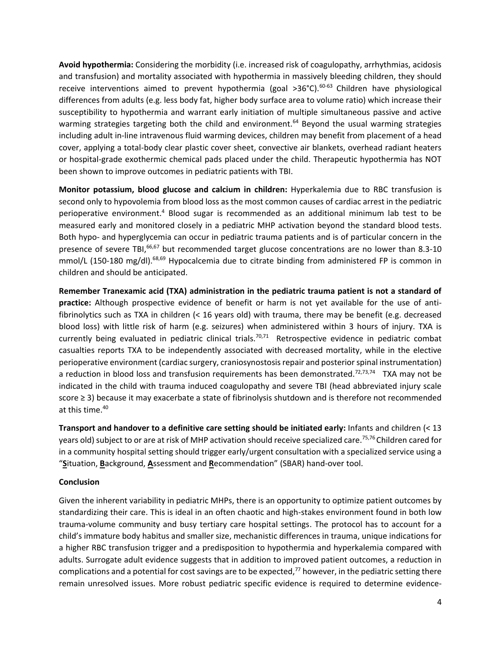**Avoid hypothermia:** Considering the morbidity (i.e. increased risk of coagulopathy, arrhythmias, acidosis and transfusion) and mortality associated with hypothermia in massively bleeding children, they should receive interventions aimed to prevent hypothermia (goal  $>36^{\circ}$ C).<sup>60-63</sup> Children have physiological differences from adults (e.g. less body fat, higher body surface area to volume ratio) which increase their susceptibility to hypothermia and warrant early initiation of multiple simultaneous passive and active warming strategies targeting both the child and environment.<sup>64</sup> Beyond the usual warming strategies including adult in-line intravenous fluid warming devices, children may benefit from placement of a head cover, applying a total-body clear plastic cover sheet, convective air blankets, overhead radiant heaters or hospital-grade exothermic chemical pads placed under the child. Therapeutic hypothermia has NOT been shown to improve outcomes in pediatric patients with TBI.

**Monitor potassium, blood glucose and calcium in children:** Hyperkalemia due to RBC transfusion is second only to hypovolemia from blood loss as the most common causes of cardiac arrest in the pediatric perioperative environment.<sup>4</sup> Blood sugar is recommended as an additional minimum lab test to be measured early and monitored closely in a pediatric MHP activation beyond the standard blood tests. Both hypo- and hyperglycemia can occur in pediatric trauma patients and is of particular concern in the presence of severe TBI,<sup>66,67</sup> but recommended target glucose concentrations are no lower than 8.3-10 mmol/L (150-180 mg/dl).<sup>68,69</sup> Hypocalcemia due to citrate binding from administered FP is common in children and should be anticipated.

**Remember Tranexamic acid (TXA) administration in the pediatric trauma patient is not a standard of practice:** Although prospective evidence of benefit or harm is not yet available for the use of antifibrinolytics such as TXA in children (< 16 years old) with trauma, there may be benefit (e.g. decreased blood loss) with little risk of harm (e.g. seizures) when administered within 3 hours of injury. TXA is currently being evaluated in pediatric clinical trials.<sup>70,71</sup> Retrospective evidence in pediatric combat casualties reports TXA to be independently associated with decreased mortality, while in the elective perioperative environment (cardiac surgery, craniosynostosis repair and posterior spinal instrumentation) a reduction in blood loss and transfusion requirements has been demonstrated.<sup>72,73,74</sup> TXA may not be indicated in the child with trauma induced coagulopathy and severe TBI (head abbreviated injury scale score ≥ 3) because it may exacerbate a state of fibrinolysis shutdown and is therefore not recommended at this time. 40

**Transport and handover to a definitive care setting should be initiated early:** Infants and children (< 13 years old) subject to or are at risk of MHP activation should receive specialized care.<sup>75,76</sup>Children cared for in a community hospital setting should trigger early/urgent consultation with a specialized service using a "**S**ituation, **B**ackground, **A**ssessment and **R**ecommendation" (SBAR) hand-over tool.

#### **Conclusion**

Given the inherent variability in pediatric MHPs, there is an opportunity to optimize patient outcomes by standardizing their care. This is ideal in an often chaotic and high-stakes environment found in both low trauma-volume community and busy tertiary care hospital settings. The protocol has to account for a child's immature body habitus and smaller size, mechanistic differences in trauma, unique indications for a higher RBC transfusion trigger and a predisposition to hypothermia and hyperkalemia compared with adults. Surrogate adult evidence suggests that in addition to improved patient outcomes, a reduction in complications and a potential for cost savings are to be expected, $77$  however, in the pediatric setting there remain unresolved issues. More robust pediatric specific evidence is required to determine evidence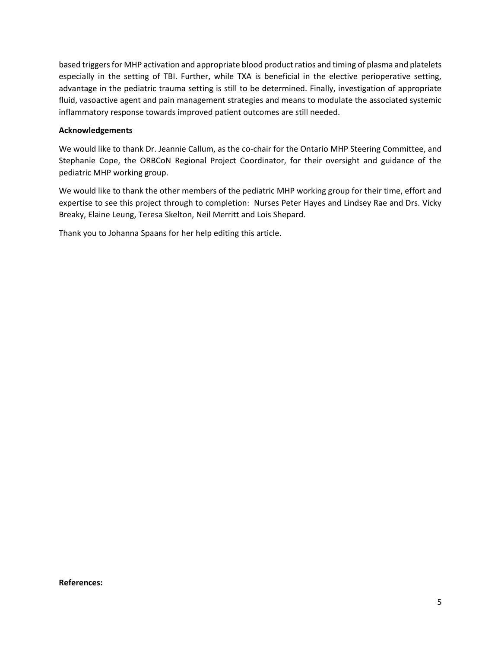based triggers for MHP activation and appropriate blood product ratios and timing of plasma and platelets especially in the setting of TBI. Further, while TXA is beneficial in the elective perioperative setting, advantage in the pediatric trauma setting is still to be determined. Finally, investigation of appropriate fluid, vasoactive agent and pain management strategies and means to modulate the associated systemic inflammatory response towards improved patient outcomes are still needed.

## **Acknowledgements**

We would like to thank Dr. Jeannie Callum, as the co-chair for the Ontario MHP Steering Committee, and Stephanie Cope, the ORBCoN Regional Project Coordinator, for their oversight and guidance of the pediatric MHP working group.

We would like to thank the other members of the pediatric MHP working group for their time, effort and expertise to see this project through to completion: Nurses Peter Hayes and Lindsey Rae and Drs. Vicky Breaky, Elaine Leung, Teresa Skelton, Neil Merritt and Lois Shepard.

Thank you to Johanna Spaans for her help editing this article.

**References:**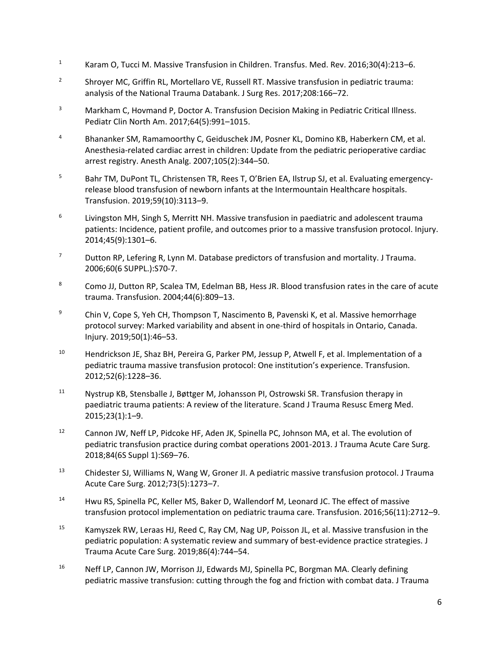- <sup>1</sup> Karam O, Tucci M. Massive Transfusion in Children. Transfus. Med. Rev. 2016;30(4):213–6.
- 2 Shroyer MC, Griffin RL, Mortellaro VE, Russell RT. Massive transfusion in pediatric trauma: analysis of the National Trauma Databank. J Surg Res. 2017;208:166–72.
- <sup>3</sup> Markham C, Hovmand P, Doctor A. Transfusion Decision Making in Pediatric Critical Illness. Pediatr Clin North Am. 2017;64(5):991–1015.
- <sup>4</sup> Bhananker SM, Ramamoorthy C, Geiduschek JM, Posner KL, Domino KB, Haberkern CM, et al. Anesthesia-related cardiac arrest in children: Update from the pediatric perioperative cardiac arrest registry. Anesth Analg. 2007;105(2):344–50.
- <sup>5</sup> Bahr TM, DuPont TL, Christensen TR, Rees T, O'Brien EA, Ilstrup SJ, et al. Evaluating emergencyrelease blood transfusion of newborn infants at the Intermountain Healthcare hospitals. Transfusion. 2019;59(10):3113–9.
- 6 Livingston MH, Singh S, Merritt NH. Massive transfusion in paediatric and adolescent trauma patients: Incidence, patient profile, and outcomes prior to a massive transfusion protocol. Injury. 2014;45(9):1301–6.
- <sup>7</sup> Dutton RP, Lefering R, Lynn M. Database predictors of transfusion and mortality. J Trauma. 2006;60(6 SUPPL.):S70-7.
- 8 Como JJ, Dutton RP, Scalea TM, Edelman BB, Hess JR. Blood transfusion rates in the care of acute trauma. Transfusion. 2004;44(6):809–13.
- <sup>9</sup> Chin V, Cope S, Yeh CH, Thompson T, Nascimento B, Pavenski K, et al. Massive hemorrhage protocol survey: Marked variability and absent in one-third of hospitals in Ontario, Canada. Injury. 2019;50(1):46–53.
- <sup>10</sup> Hendrickson JE, Shaz BH, Pereira G, Parker PM, Jessup P, Atwell F, et al. Implementation of a pediatric trauma massive transfusion protocol: One institution's experience. Transfusion. 2012;52(6):1228–36.
- <sup>11</sup> Nystrup KB, Stensballe J, Bøttger M, Johansson PI, Ostrowski SR. Transfusion therapy in paediatric trauma patients: A review of the literature. Scand J Trauma Resusc Emerg Med. 2015;23(1):1–9.
- <sup>12</sup> Cannon JW, Neff LP, Pidcoke HF, Aden JK, Spinella PC, Johnson MA, et al. The evolution of pediatric transfusion practice during combat operations 2001-2013. J Trauma Acute Care Surg. 2018;84(6S Suppl 1):S69–76.
- <sup>13</sup> Chidester SJ, Williams N, Wang W, Groner JI. A pediatric massive transfusion protocol. J Trauma Acute Care Surg. 2012;73(5):1273–7.
- <sup>14</sup> Hwu RS, Spinella PC, Keller MS, Baker D, Wallendorf M, Leonard JC. The effect of massive transfusion protocol implementation on pediatric trauma care. Transfusion. 2016;56(11):2712–9.
- <sup>15</sup> Kamyszek RW, Leraas HJ, Reed C, Ray CM, Nag UP, Poisson JL, et al. Massive transfusion in the pediatric population: A systematic review and summary of best-evidence practice strategies. J Trauma Acute Care Surg. 2019;86(4):744–54.
- <sup>16</sup> Neff LP, Cannon JW, Morrison JJ, Edwards MJ, Spinella PC, Borgman MA. Clearly defining pediatric massive transfusion: cutting through the fog and friction with combat data. J Trauma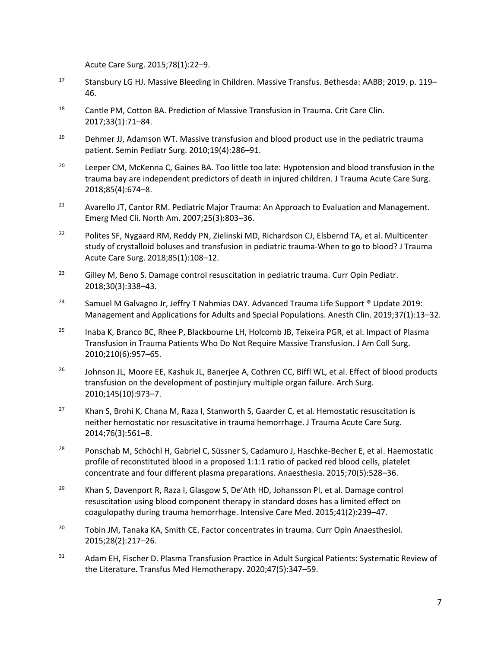Acute Care Surg. 2015;78(1):22–9.

- <sup>17</sup> Stansbury LG HJ. Massive Bleeding in Children. Massive Transfus. Bethesda: AABB; 2019. p. 119– 46.
- <sup>18</sup> Cantle PM, Cotton BA. Prediction of Massive Transfusion in Trauma. Crit Care Clin. 2017;33(1):71–84.
- $19$  Dehmer JJ, Adamson WT. Massive transfusion and blood product use in the pediatric trauma patient. Semin Pediatr Surg. 2010;19(4):286–91.
- <sup>20</sup> Leeper CM, McKenna C, Gaines BA. Too little too late: Hypotension and blood transfusion in the trauma bay are independent predictors of death in injured children. J Trauma Acute Care Surg. 2018;85(4):674–8.
- <sup>21</sup> Avarello JT, Cantor RM. Pediatric Major Trauma: An Approach to Evaluation and Management. Emerg Med Cli. North Am. 2007;25(3):803–36.
- <sup>22</sup> Polites SF, Nygaard RM, Reddy PN, Zielinski MD, Richardson CJ, Elsbernd TA, et al. Multicenter study of crystalloid boluses and transfusion in pediatric trauma-When to go to blood? J Trauma Acute Care Surg. 2018;85(1):108–12.
- $23$  Gilley M, Beno S. Damage control resuscitation in pediatric trauma. Curr Opin Pediatr. 2018;30(3):338–43.
- <sup>24</sup> Samuel M Galvagno Jr, Jeffry T Nahmias DAY. Advanced Trauma Life Support <sup>®</sup> Update 2019: Management and Applications for Adults and Special Populations. Anesth Clin. 2019;37(1):13–32.
- <sup>25</sup> Inaba K, Branco BC, Rhee P, Blackbourne LH, Holcomb JB, Teixeira PGR, et al. Impact of Plasma Transfusion in Trauma Patients Who Do Not Require Massive Transfusion. J Am Coll Surg. 2010;210(6):957–65.
- <sup>26</sup> Johnson JL, Moore EE, Kashuk JL, Banerjee A, Cothren CC, Biffl WL, et al. Effect of blood products transfusion on the development of postinjury multiple organ failure. Arch Surg. 2010;145(10):973–7.
- <sup>27</sup> Khan S, Brohi K, Chana M, Raza I, Stanworth S, Gaarder C, et al. Hemostatic resuscitation is neither hemostatic nor resuscitative in trauma hemorrhage. J Trauma Acute Care Surg. 2014;76(3):561–8.
- <sup>28</sup> Ponschab M, Schöchl H, Gabriel C, Süssner S, Cadamuro J, Haschke-Becher E, et al. Haemostatic profile of reconstituted blood in a proposed 1:1:1 ratio of packed red blood cells, platelet concentrate and four different plasma preparations. Anaesthesia. 2015;70(5):528–36.
- <sup>29</sup> Khan S, Davenport R, Raza I, Glasgow S, De'Ath HD, Johansson PI, et al. Damage control resuscitation using blood component therapy in standard doses has a limited effect on coagulopathy during trauma hemorrhage. Intensive Care Med. 2015;41(2):239–47.
- <sup>30</sup> Tobin JM, Tanaka KA, Smith CE. Factor concentrates in trauma. Curr Opin Anaesthesiol. 2015;28(2):217–26.
- <sup>31</sup> Adam EH, Fischer D. Plasma Transfusion Practice in Adult Surgical Patients: Systematic Review of the Literature. Transfus Med Hemotherapy. 2020;47(5):347–59.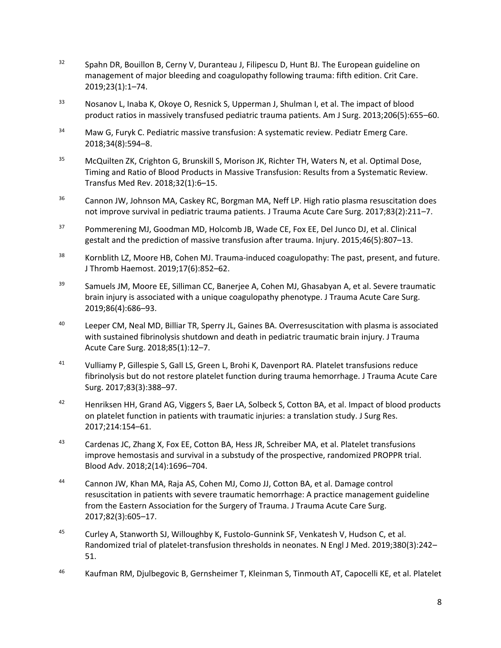- $32$  Spahn DR, Bouillon B, Cerny V, Duranteau J, Filipescu D, Hunt BJ. The European guideline on management of major bleeding and coagulopathy following trauma: fifth edition. Crit Care. 2019;23(1):1–74.
- 33 Nosanov L, Inaba K, Okoye O, Resnick S, Upperman J, Shulman I, et al. The impact of blood product ratios in massively transfused pediatric trauma patients. Am J Surg. 2013;206(5):655–60.
- <sup>34</sup> Maw G, Furyk C. Pediatric massive transfusion: A systematic review. Pediatr Emerg Care. 2018;34(8):594–8.
- <sup>35</sup> McQuilten ZK, Crighton G, Brunskill S, Morison JK, Richter TH, Waters N, et al. Optimal Dose, Timing and Ratio of Blood Products in Massive Transfusion: Results from a Systematic Review. Transfus Med Rev. 2018;32(1):6–15.
- <sup>36</sup> Cannon JW, Johnson MA, Caskey RC, Borgman MA, Neff LP. High ratio plasma resuscitation does not improve survival in pediatric trauma patients. J Trauma Acute Care Surg. 2017;83(2):211–7.
- <sup>37</sup> Pommerening MJ, Goodman MD, Holcomb JB, Wade CE, Fox EE, Del Junco DJ, et al. Clinical gestalt and the prediction of massive transfusion after trauma. Injury. 2015;46(5):807–13.
- <sup>38</sup> Kornblith LZ, Moore HB, Cohen MJ. Trauma-induced coagulopathy: The past, present, and future. J Thromb Haemost. 2019;17(6):852–62.
- <sup>39</sup> Samuels JM, Moore EE, Silliman CC, Banerjee A, Cohen MJ, Ghasabyan A, et al. Severe traumatic brain injury is associated with a unique coagulopathy phenotype. J Trauma Acute Care Surg. 2019;86(4):686–93.
- <sup>40</sup> Leeper CM, Neal MD, Billiar TR, Sperry JL, Gaines BA. Overresuscitation with plasma is associated with sustained fibrinolysis shutdown and death in pediatric traumatic brain injury. J Trauma Acute Care Surg. 2018;85(1):12–7.
- <sup>41</sup> Vulliamy P, Gillespie S, Gall LS, Green L, Brohi K, Davenport RA. Platelet transfusions reduce fibrinolysis but do not restore platelet function during trauma hemorrhage. J Trauma Acute Care Surg. 2017;83(3):388–97.
- <sup>42</sup> Henriksen HH, Grand AG, Viggers S, Baer LA, Solbeck S, Cotton BA, et al. Impact of blood products on platelet function in patients with traumatic injuries: a translation study. J Surg Res. 2017;214:154–61.
- 43 Cardenas JC, Zhang X, Fox EE, Cotton BA, Hess JR, Schreiber MA, et al. Platelet transfusions improve hemostasis and survival in a substudy of the prospective, randomized PROPPR trial. Blood Adv. 2018;2(14):1696–704.
- <sup>44</sup> Cannon JW, Khan MA, Raja AS, Cohen MJ, Como JJ, Cotton BA, et al. Damage control resuscitation in patients with severe traumatic hemorrhage: A practice management guideline from the Eastern Association for the Surgery of Trauma. J Trauma Acute Care Surg. 2017;82(3):605–17.
- 45 Curley A, Stanworth SJ, Willoughby K, Fustolo-Gunnink SF, Venkatesh V, Hudson C, et al. Randomized trial of platelet-transfusion thresholds in neonates. N Engl J Med. 2019;380(3):242– 51.
- <sup>46</sup> Kaufman RM, Djulbegovic B, Gernsheimer T, Kleinman S, Tinmouth AT, Capocelli KE, et al. Platelet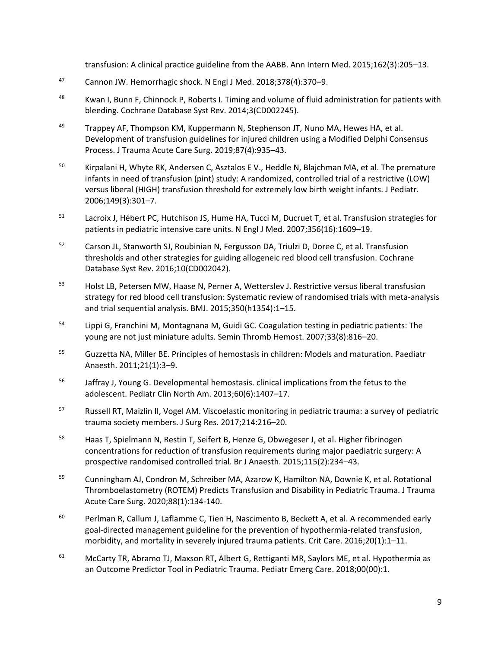transfusion: A clinical practice guideline from the AABB. Ann Intern Med. 2015;162(3):205–13.

- <sup>47</sup> Cannon JW. Hemorrhagic shock. N Engl J Med. 2018;378(4):370–9.
- 48 Kwan I, Bunn F, Chinnock P, Roberts I. Timing and volume of fluid administration for patients with bleeding. Cochrane Database Syst Rev. 2014;3(CD002245).
- $49$  Trappey AF, Thompson KM, Kuppermann N, Stephenson JT, Nuno MA, Hewes HA, et al. Development of transfusion guidelines for injured children using a Modified Delphi Consensus Process. J Trauma Acute Care Surg. 2019;87(4):935–43.
- <sup>50</sup> Kirpalani H, Whyte RK, Andersen C, Asztalos E V., Heddle N, Blajchman MA, et al. The premature infants in need of transfusion (pint) study: A randomized, controlled trial of a restrictive (LOW) versus liberal (HIGH) transfusion threshold for extremely low birth weight infants. J Pediatr. 2006;149(3):301–7.
- <sup>51</sup> Lacroix J, Hébert PC, Hutchison JS, Hume HA, Tucci M, Ducruet T, et al. Transfusion strategies for patients in pediatric intensive care units. N Engl J Med. 2007;356(16):1609–19.
- 52 Carson JL, Stanworth SJ, Roubinian N, Fergusson DA, Triulzi D, Doree C, et al. Transfusion thresholds and other strategies for guiding allogeneic red blood cell transfusion. Cochrane Database Syst Rev. 2016;10(CD002042).
- <sup>53</sup> Holst LB, Petersen MW, Haase N, Perner A, Wetterslev J. Restrictive versus liberal transfusion strategy for red blood cell transfusion: Systematic review of randomised trials with meta-analysis and trial sequential analysis. BMJ. 2015;350(h1354):1–15.
- <sup>54</sup> Lippi G, Franchini M, Montagnana M, Guidi GC. Coagulation testing in pediatric patients: The young are not just miniature adults. Semin Thromb Hemost. 2007;33(8):816–20.
- <sup>55</sup> Guzzetta NA, Miller BE. Principles of hemostasis in children: Models and maturation. Paediatr Anaesth. 2011;21(1):3–9.
- <sup>56</sup> Jaffray J, Young G. Developmental hemostasis. clinical implications from the fetus to the adolescent. Pediatr Clin North Am. 2013;60(6):1407–17.
- <sup>57</sup> Russell RT, Maizlin II, Vogel AM. Viscoelastic monitoring in pediatric trauma: a survey of pediatric trauma society members. J Surg Res. 2017;214:216–20.
- <sup>58</sup> Haas T, Spielmann N, Restin T, Seifert B, Henze G, Obwegeser J, et al. Higher fibrinogen concentrations for reduction of transfusion requirements during major paediatric surgery: A prospective randomised controlled trial. Br J Anaesth. 2015;115(2):234–43.
- <sup>59</sup> Cunningham AJ, Condron M, Schreiber MA, Azarow K, Hamilton NA, Downie K, et al. Rotational Thromboelastometry (ROTEM) Predicts Transfusion and Disability in Pediatric Trauma. J Trauma Acute Care Surg. 2020;88(1):134-140.
- <sup>60</sup> Perlman R, Callum J, Laflamme C, Tien H, Nascimento B, Beckett A, et al. A recommended early goal-directed management guideline for the prevention of hypothermia-related transfusion, morbidity, and mortality in severely injured trauma patients. Crit Care. 2016;20(1):1–11.
- $61$  McCarty TR, Abramo TJ, Maxson RT, Albert G, Rettiganti MR, Saylors ME, et al. Hypothermia as an Outcome Predictor Tool in Pediatric Trauma. Pediatr Emerg Care. 2018;00(00):1.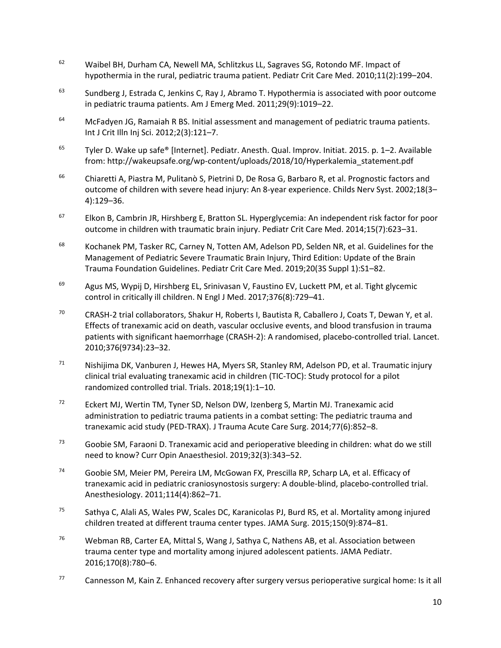- <sup>62</sup> Waibel BH, Durham CA, Newell MA, Schlitzkus LL, Sagraves SG, Rotondo MF. Impact of hypothermia in the rural, pediatric trauma patient. Pediatr Crit Care Med. 2010;11(2):199–204.
- $63$  Sundberg J, Estrada C, Jenkins C, Ray J, Abramo T. Hypothermia is associated with poor outcome in pediatric trauma patients. Am J Emerg Med. 2011;29(9):1019–22.
- $64$  McFadyen JG, Ramaiah R BS. Initial assessment and management of pediatric trauma patients. Int J Crit Illn Inj Sci. 2012;2(3):121–7.
- <sup>65</sup> Tyler D. Wake up safe® [Internet]. Pediatr. Anesth. Qual. Improv. Initiat. 2015. p. 1–2. Available from: http://wakeupsafe.org/wp-content/uploads/2018/10/Hyperkalemia\_statement.pdf
- <sup>66</sup> Chiaretti A, Piastra M, Pulitanò S, Pietrini D, De Rosa G, Barbaro R, et al. Prognostic factors and outcome of children with severe head injury: An 8-year experience. Childs Nerv Syst. 2002;18(3– 4):129–36.
- $67$  Elkon B, Cambrin JR, Hirshberg E, Bratton SL. Hyperglycemia: An independent risk factor for poor outcome in children with traumatic brain injury. Pediatr Crit Care Med. 2014;15(7):623–31.
- <sup>68</sup> Kochanek PM, Tasker RC, Carney N, Totten AM, Adelson PD, Selden NR, et al. Guidelines for the Management of Pediatric Severe Traumatic Brain Injury, Third Edition: Update of the Brain Trauma Foundation Guidelines. Pediatr Crit Care Med. 2019;20(3S Suppl 1):S1–82.
- <sup>69</sup> Agus MS, Wypij D, Hirshberg EL, Srinivasan V, Faustino EV, Luckett PM, et al. Tight glycemic control in critically ill children. N Engl J Med. 2017;376(8):729–41.
- <sup>70</sup> CRASH-2 trial collaborators, Shakur H, Roberts I, Bautista R, Caballero J, Coats T, Dewan Y, et al. Effects of tranexamic acid on death, vascular occlusive events, and blood transfusion in trauma patients with significant haemorrhage (CRASH-2): A randomised, placebo-controlled trial. Lancet. 2010;376(9734):23–32.
- $71$  Nishijima DK, Vanburen J, Hewes HA, Myers SR, Stanley RM, Adelson PD, et al. Traumatic injury clinical trial evaluating tranexamic acid in children (TIC-TOC): Study protocol for a pilot randomized controlled trial. Trials. 2018;19(1):1–10.
- $72$  Eckert MJ, Wertin TM, Tyner SD, Nelson DW, Izenberg S, Martin MJ. Tranexamic acid administration to pediatric trauma patients in a combat setting: The pediatric trauma and tranexamic acid study (PED-TRAX). J Trauma Acute Care Surg. 2014;77(6):852–8.
- 73 Goobie SM, Faraoni D. Tranexamic acid and perioperative bleeding in children: what do we still need to know? Curr Opin Anaesthesiol. 2019;32(3):343–52.
- <sup>74</sup> Goobie SM, Meier PM, Pereira LM, McGowan FX, Prescilla RP, Scharp LA, et al. Efficacy of tranexamic acid in pediatric craniosynostosis surgery: A double-blind, placebo-controlled trial. Anesthesiology. 2011;114(4):862–71.
- <sup>75</sup> Sathya C, Alali AS, Wales PW, Scales DC, Karanicolas PJ, Burd RS, et al. Mortality among injured children treated at different trauma center types. JAMA Surg. 2015;150(9):874–81.
- <sup>76</sup> Webman RB, Carter EA, Mittal S, Wang J, Sathya C, Nathens AB, et al. Association between trauma center type and mortality among injured adolescent patients. JAMA Pediatr. 2016;170(8):780–6.
- $77$  Cannesson M, Kain Z. Enhanced recovery after surgery versus perioperative surgical home: Is it all